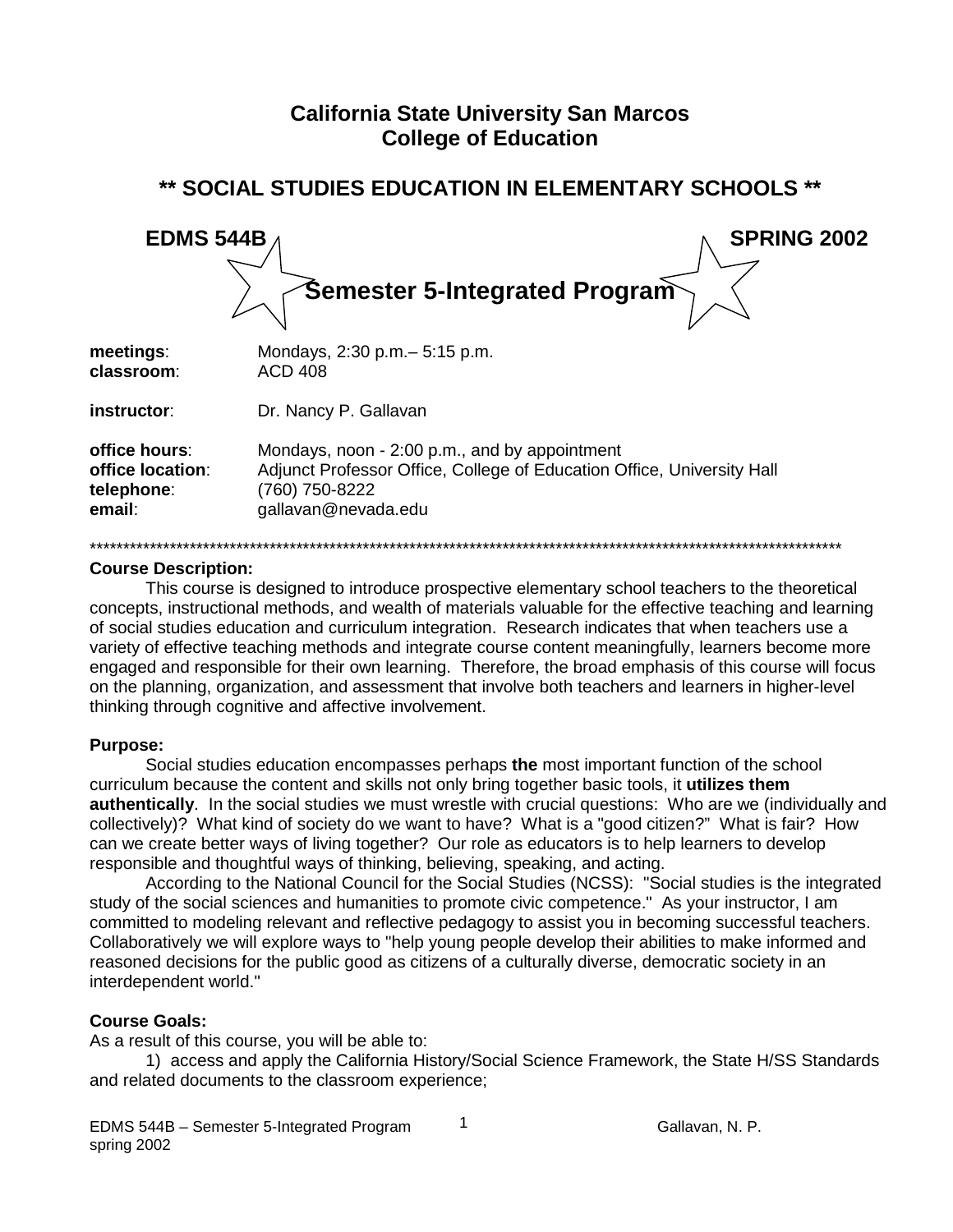# **California State University San Marcos College of Education**

| <b>EDMS 544B</b>                                          | <b>SPRING 2002</b>                                                                                                                                               |  |  |
|-----------------------------------------------------------|------------------------------------------------------------------------------------------------------------------------------------------------------------------|--|--|
|                                                           | Semester 5-Integrated Program                                                                                                                                    |  |  |
| meetings:<br>classroom:                                   | Mondays, 2:30 p.m. - 5:15 p.m.<br><b>ACD 408</b>                                                                                                                 |  |  |
| instructor:                                               | Dr. Nancy P. Gallavan                                                                                                                                            |  |  |
| office hours:<br>office location:<br>telephone:<br>email: | Mondays, noon - 2:00 p.m., and by appointment<br>Adjunct Professor Office, College of Education Office, University Hall<br>(760) 750-8222<br>gallavan@nevada.edu |  |  |

## \*\* SOCIAL STUDIES EDUCATION IN ELEMENTARY SCHOOLS \*\*

#### **Course Description:**

This course is designed to introduce prospective elementary school teachers to the theoretical concepts, instructional methods, and wealth of materials valuable for the effective teaching and learning of social studies education and curriculum integration. Research indicates that when teachers use a variety of effective teaching methods and integrate course content meaningfully, learners become more engaged and responsible for their own learning. Therefore, the broad emphasis of this course will focus on the planning, organization, and assessment that involve both teachers and learners in higher-level thinking through cognitive and affective involvement.

#### **Purpose:**

Social studies education encompasses perhaps the most important function of the school curriculum because the content and skills not only bring together basic tools, it utilizes them authentically. In the social studies we must wrestle with crucial questions: Who are we (individually and collectively)? What kind of society do we want to have? What is a "good citizen?" What is fair? How can we create better ways of living together? Our role as educators is to help learners to develop responsible and thoughtful ways of thinking, believing, speaking, and acting.

According to the National Council for the Social Studies (NCSS): "Social studies is the integrated study of the social sciences and humanities to promote civic competence." As your instructor, I am committed to modeling relevant and reflective pedagogy to assist you in becoming successful teachers. Collaboratively we will explore ways to "help young people develop their abilities to make informed and reasoned decisions for the public good as citizens of a culturally diverse, democratic society in an interdependent world."

#### **Course Goals:**

As a result of this course, you will be able to:

1) access and apply the California History/Social Science Framework, the State H/SS Standards and related documents to the classroom experience;

 $\mathbf{1}$ 

Gallavan, N. P.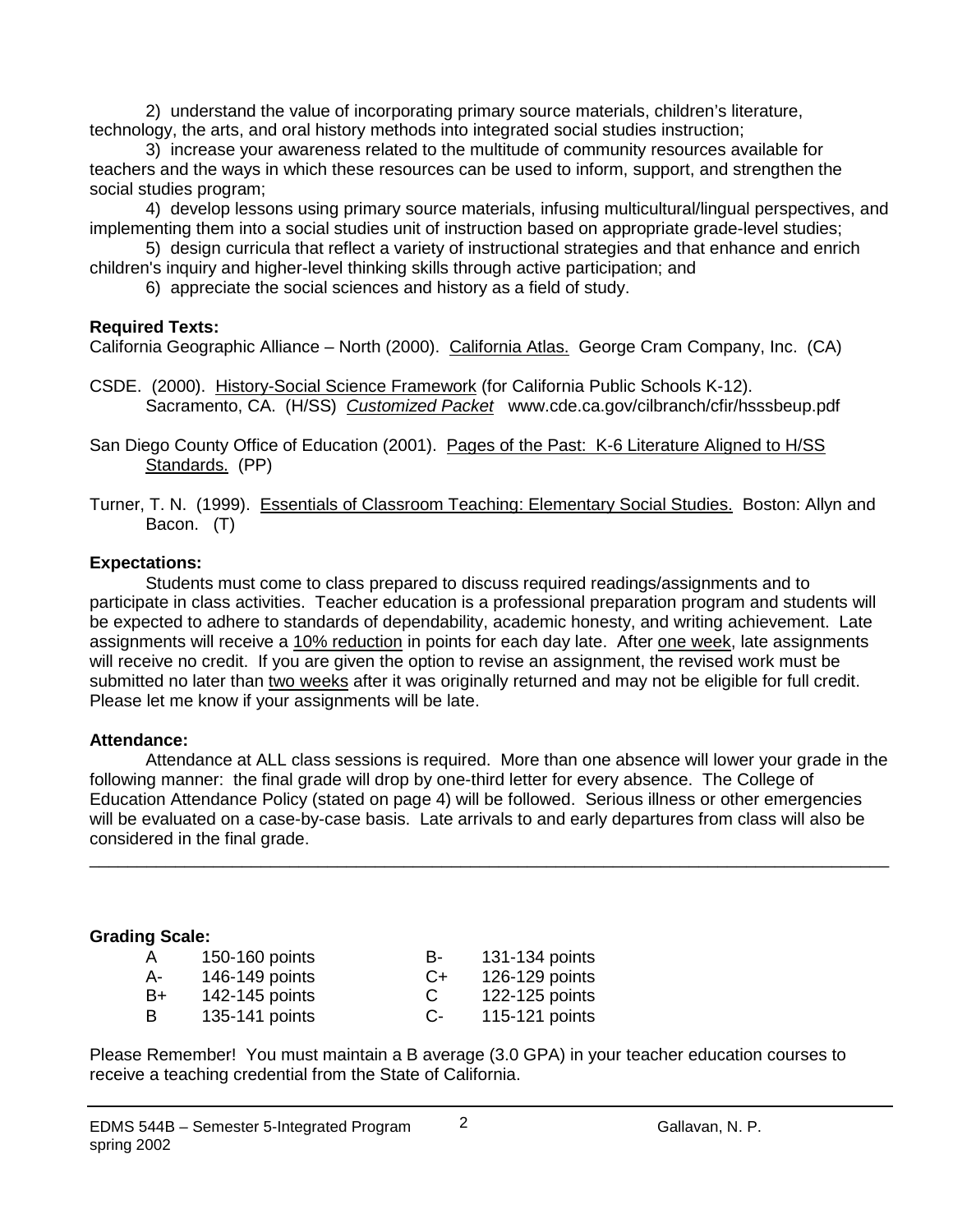2) understand the value of incorporating primary source materials, children's literature, technology, the arts, and oral history methods into integrated social studies instruction;

3) increase your awareness related to the multitude of community resources available for teachers and the ways in which these resources can be used to inform, support, and strengthen the social studies program;

4) develop lessons using primary source materials, infusing multicultural/lingual perspectives, and implementing them into a social studies unit of instruction based on appropriate grade-level studies;

5) design curricula that reflect a variety of instructional strategies and that enhance and enrich

children's inquiry and higher-level thinking skills through active participation; and

6) appreciate the social sciences and history as a field of study.

## **Required Texts:**

California Geographic Alliance – North (2000). California Atlas. George Cram Company, Inc. (CA)

CSDE. (2000). History-Social Science Framework (for California Public Schools K-12). Sacramento, CA. (H/SS) *Customized Packet* www.cde.ca.gov/cilbranch/cfir/hsssbeup.pdf

San Diego County Office of Education (2001). Pages of the Past: K-6 Literature Aligned to H/SS Standards. (PP)

# **Expectations:**

Students must come to class prepared to discuss required readings/assignments and to participate in class activities. Teacher education is a professional preparation program and students will be expected to adhere to standards of dependability, academic honesty, and writing achievement. Late assignments will receive a 10% reduction in points for each day late. After one week, late assignments will receive no credit. If you are given the option to revise an assignment, the revised work must be submitted no later than two weeks after it was originally returned and may not be eligible for full credit. Please let me know if your assignments will be late.

## **Attendance:**

Attendance at ALL class sessions is required. More than one absence will lower your grade in the following manner: the final grade will drop by one-third letter for every absence. The College of Education Attendance Policy (stated on page 4) will be followed. Serious illness or other emergencies will be evaluated on a case-by-case basis. Late arrivals to and early departures from class will also be considered in the final grade.

\_\_\_\_\_\_\_\_\_\_\_\_\_\_\_\_\_\_\_\_\_\_\_\_\_\_\_\_\_\_\_\_\_\_\_\_\_\_\_\_\_\_\_\_\_\_\_\_\_\_\_\_\_\_\_\_\_\_\_\_\_\_\_\_\_\_\_\_\_\_\_\_\_\_\_\_\_\_\_\_\_\_\_\_

## **Grading Scale:**

| $\overline{A}$ | 150-160 points | в-     | 131-134 points |
|----------------|----------------|--------|----------------|
| A-             | 146-149 points | $( )+$ | 126-129 points |
| B+             | 142-145 points | C      | 122-125 points |
| B              | 135-141 points | C-     | 115-121 points |

Please Remember! You must maintain a B average (3.0 GPA) in your teacher education courses to receive a teaching credential from the State of California.

Turner, T. N. (1999). Essentials of Classroom Teaching: Elementary Social Studies. Boston: Allyn and Bacon. (T)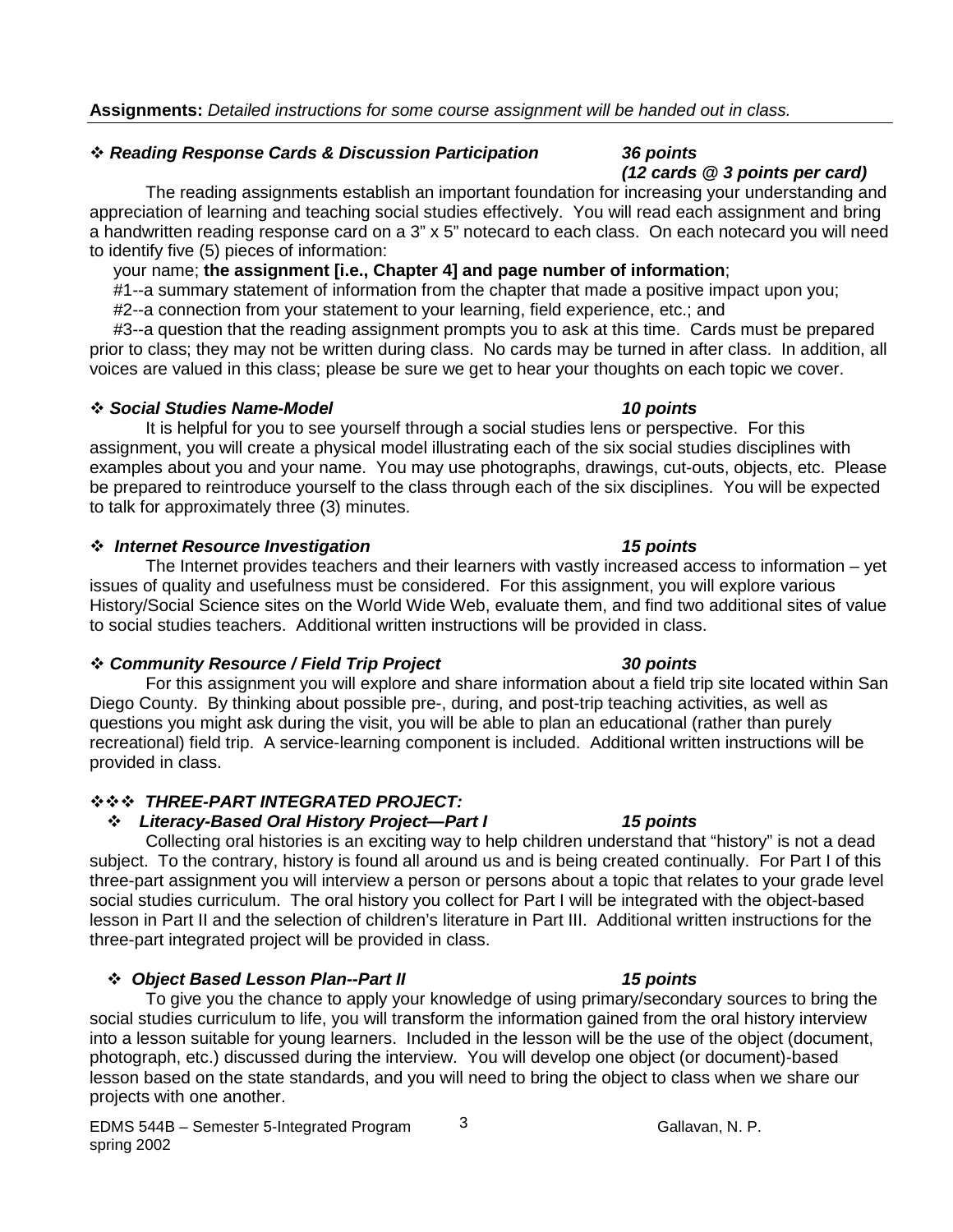### *Reading Response Cards & Discussion Participation 36 points*

*(12 cards @ 3 points per card)* The reading assignments establish an important foundation for increasing your understanding and appreciation of learning and teaching social studies effectively. You will read each assignment and bring a handwritten reading response card on a 3" x 5" notecard to each class. On each notecard you will need to identify five (5) pieces of information:

your name; **the assignment [i.e., Chapter 4] and page number of information**;

#1--a summary statement of information from the chapter that made a positive impact upon you;

#2--a connection from your statement to your learning, field experience, etc.; and

 #3--a question that the reading assignment prompts you to ask at this time. Cards must be prepared prior to class; they may not be written during class. No cards may be turned in after class. In addition, all voices are valued in this class; please be sure we get to hear your thoughts on each topic we cover.

#### *Social Studies Name-Model 10 points*

It is helpful for you to see yourself through a social studies lens or perspective. For this assignment, you will create a physical model illustrating each of the six social studies disciplines with examples about you and your name. You may use photographs, drawings, cut-outs, objects, etc. Please be prepared to reintroduce yourself to the class through each of the six disciplines. You will be expected to talk for approximately three (3) minutes.

#### *Internet Resource Investigation 15 points*

The Internet provides teachers and their learners with vastly increased access to information – yet issues of quality and usefulness must be considered. For this assignment, you will explore various History/Social Science sites on the World Wide Web, evaluate them, and find two additional sites of value to social studies teachers. Additional written instructions will be provided in class.

#### *Community Resource / Field Trip Project 30 points*

For this assignment you will explore and share information about a field trip site located within San Diego County. By thinking about possible pre-, during, and post-trip teaching activities, as well as questions you might ask during the visit, you will be able to plan an educational (rather than purely recreational) field trip. A service-learning component is included. Additional written instructions will be provided in class.

## *THREE-PART INTEGRATED PROJECT:*

## *Literacy-Based Oral History Project—Part I 15 points*

Collecting oral histories is an exciting way to help children understand that "history" is not a dead subject. To the contrary, history is found all around us and is being created continually. For Part I of this three-part assignment you will interview a person or persons about a topic that relates to your grade level social studies curriculum. The oral history you collect for Part I will be integrated with the object-based lesson in Part II and the selection of children's literature in Part III. Additional written instructions for the three-part integrated project will be provided in class.

## *Object Based Lesson Plan--Part II 15 points*

To give you the chance to apply your knowledge of using primary/secondary sources to bring the social studies curriculum to life, you will transform the information gained from the oral history interview into a lesson suitable for young learners. Included in the lesson will be the use of the object (document, photograph, etc.) discussed during the interview. You will develop one object (or document)-based lesson based on the state standards, and you will need to bring the object to class when we share our projects with one another.

3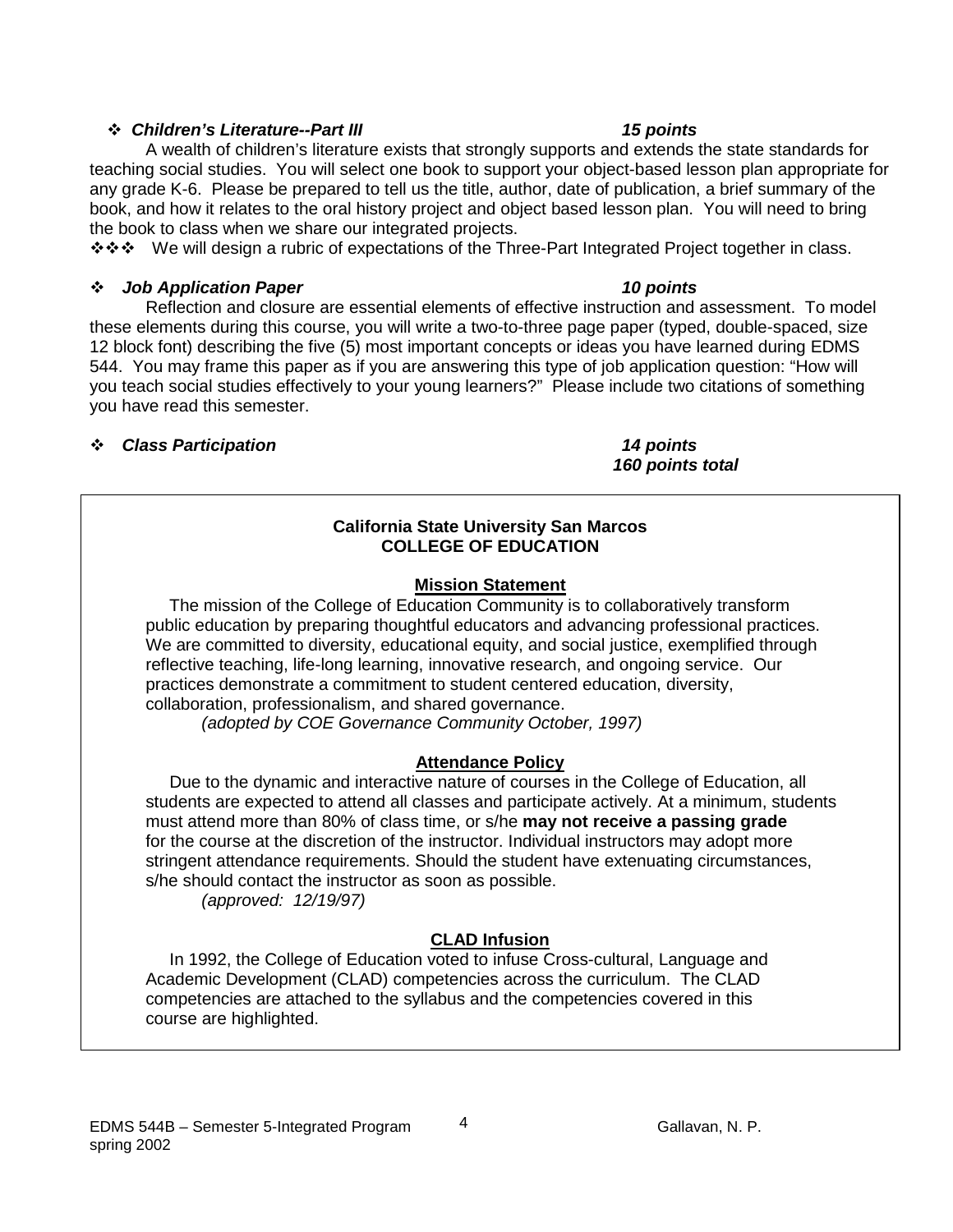### EDMS 544B – Semester 5-Integrated Program  $\frac{4}{1}$  Gallavan, N. P. spring 2002

teaching social studies. You will select one book to support your object-based lesson plan appropriate for any grade K-6. Please be prepared to tell us the title, author, date of publication, a brief summary of the

book, and how it relates to the oral history project and object based lesson plan. You will need to bring the book to class when we share our integrated projects. ❖ ❖ We will design a rubric of expectations of the Three-Part Integrated Project together in class.

# *Job Application Paper 10 points*

Reflection and closure are essential elements of effective instruction and assessment. To model these elements during this course, you will write a two-to-three page paper (typed, double-spaced, size 12 block font) describing the five (5) most important concepts or ideas you have learned during EDMS 544. You may frame this paper as if you are answering this type of job application question: "How will you teach social studies effectively to your young learners?" Please include two citations of something you have read this semester.

# *Class Participation 14 points*

# **California State University San Marcos COLLEGE OF EDUCATION**

# **Mission Statement**

 The mission of the College of Education Community is to collaboratively transform public education by preparing thoughtful educators and advancing professional practices. We are committed to diversity, educational equity, and social justice, exemplified through reflective teaching, life-long learning, innovative research, and ongoing service. Our practices demonstrate a commitment to student centered education, diversity, collaboration, professionalism, and shared governance.

 *(adopted by COE Governance Community October, 1997)*

# **Attendance Policy**

 Due to the dynamic and interactive nature of courses in the College of Education, all students are expected to attend all classes and participate actively. At a minimum, students must attend more than 80% of class time, or s/he **may not receive a passing grade** for the course at the discretion of the instructor. Individual instructors may adopt more stringent attendance requirements. Should the student have extenuating circumstances, s/he should contact the instructor as soon as possible.

 *(approved: 12/19/97)*

# **CLAD Infusion**

 In 1992, the College of Education voted to infuse Cross-cultural, Language and Academic Development (CLAD) competencies across the curriculum. The CLAD competencies are attached to the syllabus and the competencies covered in this course are highlighted.

*160 points total*

#### *Children's Literature--Part III 15 points* A wealth of children's literature exists that strongly supports and extends the state standards for